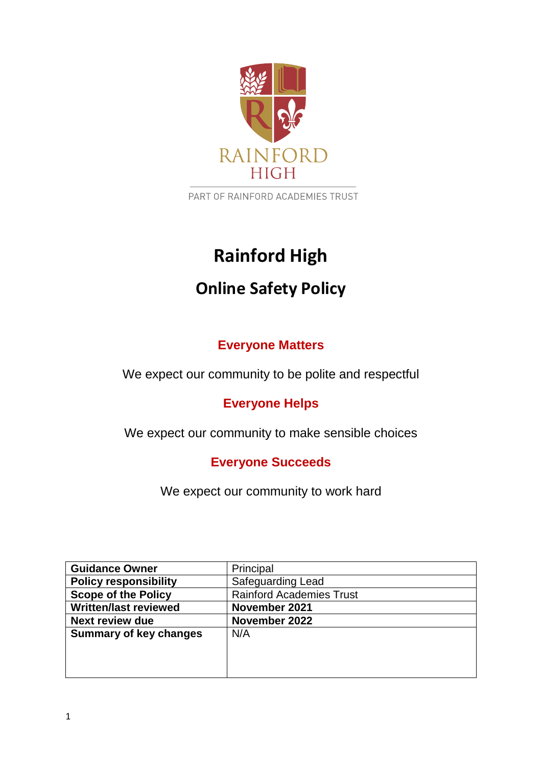

PART OF RAINFORD ACADEMIES TRUST

# **Rainford High**

## **Online Safety Policy**

## **Everyone Matters**

We expect our community to be polite and respectful

## **Everyone Helps**

We expect our community to make sensible choices

## **Everyone Succeeds**

We expect our community to work hard

| <b>Guidance Owner</b>         | Principal                       |
|-------------------------------|---------------------------------|
| <b>Policy responsibility</b>  | Safeguarding Lead               |
| <b>Scope of the Policy</b>    | <b>Rainford Academies Trust</b> |
| <b>Written/last reviewed</b>  | November 2021                   |
| <b>Next review due</b>        | November 2022                   |
| <b>Summary of key changes</b> | N/A                             |
|                               |                                 |
|                               |                                 |
|                               |                                 |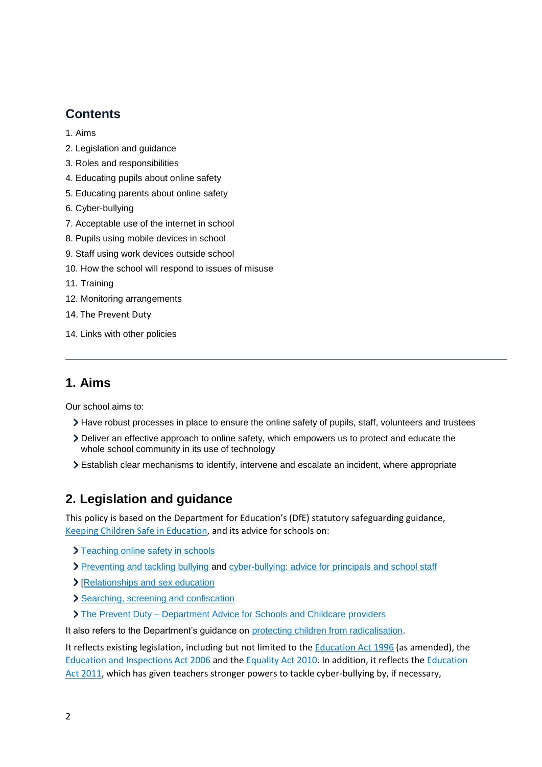## **Contents**

- [1. Aims](#page-1-0)
- [2. Legislation and guidance](#page-1-1)
- [3. Roles and responsibilities](#page-2-0)
- [4. Educating pupils about online safety](#page-4-0)
- [5. Educating parents about online safety](#page-5-0)
- [6. Cyber-bullying](#page-5-1)
- [7. Acceptable use of the internet in school](#page-6-0)
- [8. Pupils using mobile devices in school](#page-6-1)
- [9. Staff using work devices outside school](#page-6-2)
- [10. How the school will respond to issues of misuse](#page-7-0)
- [11. Training](#page-7-1)
- 12. [Monitoring arrangements](#page-7-2)
- 14. The Prevent Duty
- [14. Links with other policies](#page-8-0)

#### <span id="page-1-0"></span>**1. Aims**

Our school aims to:

- Have robust processes in place to ensure the online safety of pupils, staff, volunteers and trustees
- Deliver an effective approach to online safety, which empowers us to protect and educate the whole school community in its use of technology
- Establish clear mechanisms to identify, intervene and escalate an incident, where appropriate

## <span id="page-1-1"></span>**2. Legislation and guidance**

This policy is based on the Department for Education's (DfE) statutory safeguarding guidance, [Keeping Children Safe in Education,](https://www.gov.uk/government/publications/keeping-children-safe-in-education--2) and its advice for schools on:

- > [Teaching online safety in schools](https://www.gov.uk/government/publications/teaching-online-safety-in-schools)
- [Preventing and tackling bullying](https://www.gov.uk/government/publications/preventing-and-tackling-bullying) and [cyber-bullying: advice for principals and school staff](https://www.gov.uk/government/publications/preventing-and-tackling-bullying)
- > [\[Relationships and sex education](https://www.gov.uk/government/publications/relationships-education-relationships-and-sex-education-rse-and-health-education)]
- > [Searching, screening and confiscation](https://www.gov.uk/government/publications/searching-screening-and-confiscation)
- The Prevent Duty Department Advice for Schools and Childcare providers

It also refers to the Department's guidance on [protecting children from radicalisation.](https://www.gov.uk/government/publications/protecting-children-from-radicalisation-the-prevent-duty)

It reflects existing legislation, including but not limited to the [Education Act 1996](https://www.legislation.gov.uk/ukpga/1996/56/contents) (as amended), the [Education and Inspections Act 2006](https://www.legislation.gov.uk/ukpga/2006/40/contents) and th[e Equality Act 2010.](https://www.legislation.gov.uk/ukpga/2010/15/contents) In addition, it reflects the [Education](http://www.legislation.gov.uk/ukpga/2011/21/contents/enacted)  [Act 2011,](http://www.legislation.gov.uk/ukpga/2011/21/contents/enacted) which has given teachers stronger powers to tackle cyber-bullying by, if necessary,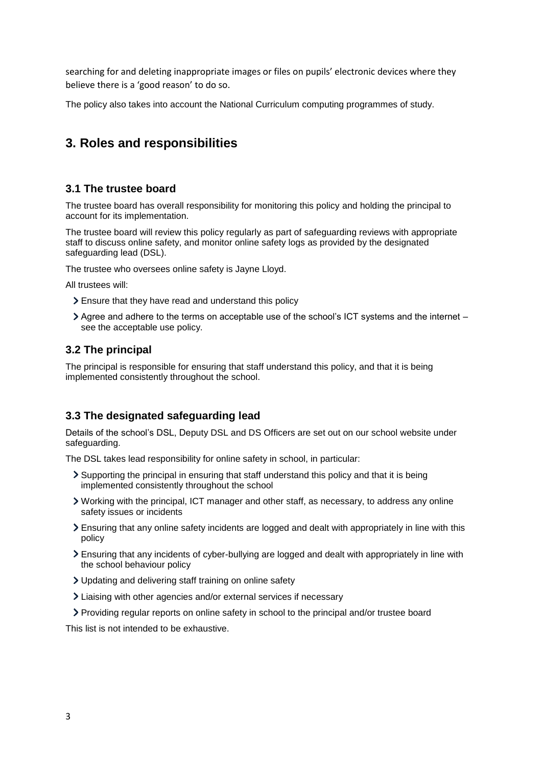searching for and deleting inappropriate images or files on pupils' electronic devices where they believe there is a 'good reason' to do so.

<span id="page-2-0"></span>The policy also takes into account the National Curriculum computing programmes of study.

## **3. Roles and responsibilities**

#### **3.1 The trustee board**

The trustee board has overall responsibility for monitoring this policy and holding the principal to account for its implementation.

The trustee board will review this policy regularly as part of safeguarding reviews with appropriate staff to discuss online safety, and monitor online safety logs as provided by the designated safeguarding lead (DSL).

The trustee who oversees online safety is Jayne Lloyd.

All trustees will:

- Ensure that they have read and understand this policy
- Agree and adhere to the terms on acceptable use of the school's ICT systems and the internet see the acceptable use policy.

#### **3.2 The principal**

The principal is responsible for ensuring that staff understand this policy, and that it is being implemented consistently throughout the school.

#### **3.3 The designated safeguarding lead**

Details of the school's DSL, Deputy DSL and DS Officers are set out on our school website under safeguarding.

The DSL takes lead responsibility for online safety in school, in particular:

- Supporting the principal in ensuring that staff understand this policy and that it is being implemented consistently throughout the school
- Working with the principal, ICT manager and other staff, as necessary, to address any online safety issues or incidents
- Ensuring that any online safety incidents are logged and dealt with appropriately in line with this policy
- Ensuring that any incidents of cyber-bullying are logged and dealt with appropriately in line with the school behaviour policy
- Updating and delivering staff training on online safety
- Liaising with other agencies and/or external services if necessary
- Providing regular reports on online safety in school to the principal and/or trustee board

This list is not intended to be exhaustive.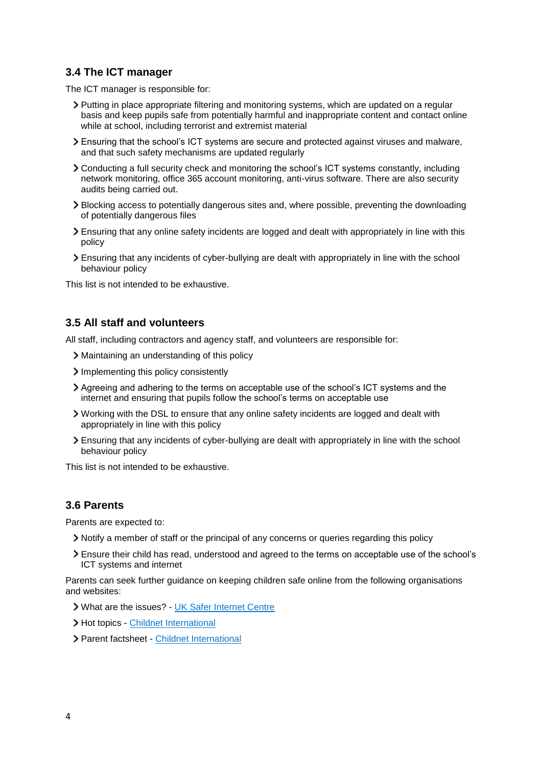#### **3.4 The ICT manager**

The ICT manager is responsible for:

- Putting in place appropriate filtering and monitoring systems, which are updated on a regular basis and keep pupils safe from potentially harmful and inappropriate content and contact online while at school, including terrorist and extremist material
- Ensuring that the school's ICT systems are secure and protected against viruses and malware, and that such safety mechanisms are updated regularly
- Conducting a full security check and monitoring the school's ICT systems constantly, including network monitoring, office 365 account monitoring, anti-virus software. There are also security audits being carried out.
- Blocking access to potentially dangerous sites and, where possible, preventing the downloading of potentially dangerous files
- Ensuring that any online safety incidents are logged and dealt with appropriately in line with this policy
- Ensuring that any incidents of cyber-bullying are dealt with appropriately in line with the school behaviour policy

This list is not intended to be exhaustive.

#### **3.5 All staff and volunteers**

All staff, including contractors and agency staff, and volunteers are responsible for:

- Maintaining an understanding of this policy
- Implementing this policy consistently
- Agreeing and adhering to the terms on acceptable use of the school's ICT systems and the internet and ensuring that pupils follow the school's terms on acceptable use
- Working with the DSL to ensure that any online safety incidents are logged and dealt with appropriately in line with this policy
- Ensuring that any incidents of cyber-bullying are dealt with appropriately in line with the school behaviour policy

This list is not intended to be exhaustive.

#### **3.6 Parents**

Parents are expected to:

- Notify a member of staff or the principal of any concerns or queries regarding this policy
- Ensure their child has read, understood and agreed to the terms on acceptable use of the school's ICT systems and internet

Parents can seek further guidance on keeping children safe online from the following organisations and websites:

- What are the issues? [UK Safer Internet Centre](https://www.saferinternet.org.uk/advice-centre/parents-and-carers/what-are-issues)
- > Hot topics [Childnet International](http://www.childnet.com/parents-and-carers/hot-topics)
- Parent factsheet [Childnet International](https://www.childnet.com/resources/parents-and-carers-resource-sheet)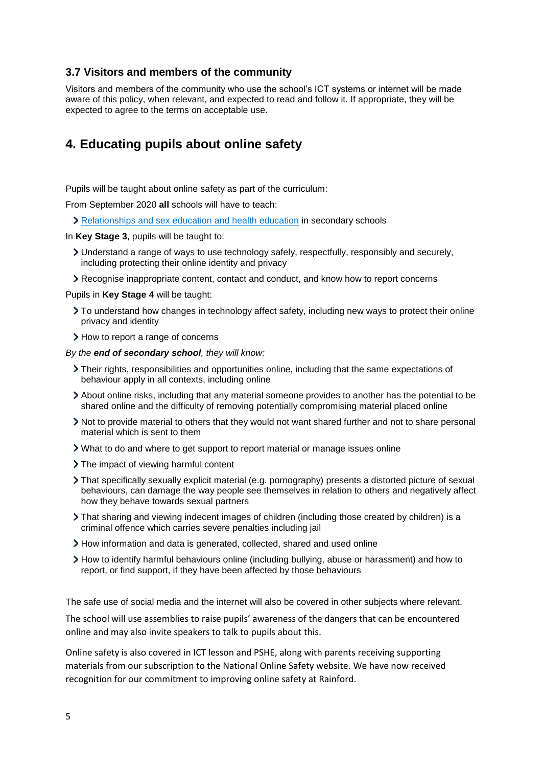#### **3.7 Visitors and members of the community**

Visitors and members of the community who use the school's ICT systems or internet will be made aware of this policy, when relevant, and expected to read and follow it. If appropriate, they will be expected to agree to the terms on acceptable use.

#### <span id="page-4-0"></span>**4. Educating pupils about online safety**

Pupils will be taught about online safety as part of the curriculum:

From September 2020 **all** schools will have to teach:

[Relationships and sex education and health education](https://schoolleaders.thekeysupport.com/uid/66a1d83e-2fb9-411e-91f1-fe52a09d16d1/) in secondary schools

In **Key Stage 3**, pupils will be taught to:

- Understand a range of ways to use technology safely, respectfully, responsibly and securely, including protecting their online identity and privacy
- Recognise inappropriate content, contact and conduct, and know how to report concerns

Pupils in **Key Stage 4** will be taught:

- To understand how changes in technology affect safety, including new ways to protect their online privacy and identity
- > How to report a range of concerns

*By the end of secondary school, they will know:*

- Their rights, responsibilities and opportunities online, including that the same expectations of behaviour apply in all contexts, including online
- About online risks, including that any material someone provides to another has the potential to be shared online and the difficulty of removing potentially compromising material placed online
- Not to provide material to others that they would not want shared further and not to share personal material which is sent to them
- What to do and where to get support to report material or manage issues online
- > The impact of viewing harmful content
- That specifically sexually explicit material (e.g. pornography) presents a distorted picture of sexual behaviours, can damage the way people see themselves in relation to others and negatively affect how they behave towards sexual partners
- That sharing and viewing indecent images of children (including those created by children) is a criminal offence which carries severe penalties including jail
- How information and data is generated, collected, shared and used online
- How to identify harmful behaviours online (including bullying, abuse or harassment) and how to report, or find support, if they have been affected by those behaviours

The safe use of social media and the internet will also be covered in other subjects where relevant.

The school will use assemblies to raise pupils' awareness of the dangers that can be encountered online and may also invite speakers to talk to pupils about this.

Online safety is also covered in ICT lesson and PSHE, along with parents receiving supporting materials from our subscription to the National Online Safety website. We have now received recognition for our commitment to improving online safety at Rainford.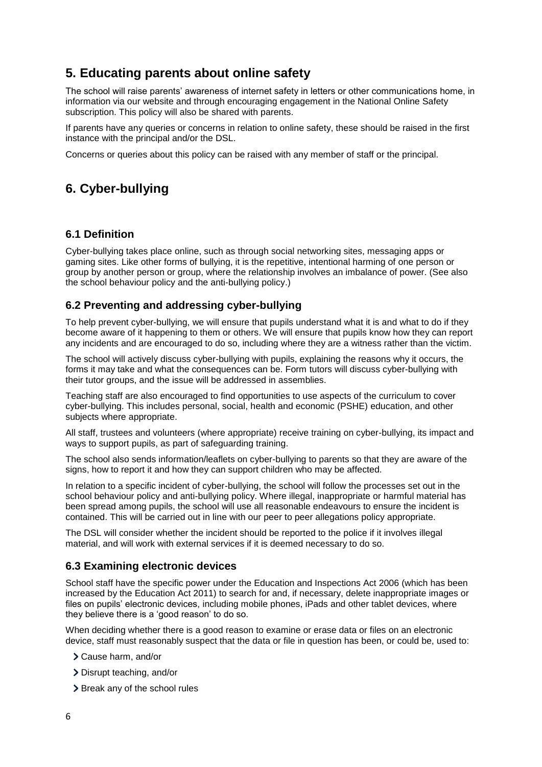## <span id="page-5-0"></span>**5. Educating parents about online safety**

The school will raise parents' awareness of internet safety in letters or other communications home, in information via our website and through encouraging engagement in the National Online Safety subscription. This policy will also be shared with parents.

If parents have any queries or concerns in relation to online safety, these should be raised in the first instance with the principal and/or the DSL.

Concerns or queries about this policy can be raised with any member of staff or the principal.

## <span id="page-5-1"></span>**6. Cyber-bullying**

#### **6.1 Definition**

Cyber-bullying takes place online, such as through social networking sites, messaging apps or gaming sites. Like other forms of bullying, it is the repetitive, intentional harming of one person or group by another person or group, where the relationship involves an imbalance of power. (See also the school behaviour policy and the anti-bullying policy.)

#### **6.2 Preventing and addressing cyber-bullying**

To help prevent cyber-bullying, we will ensure that pupils understand what it is and what to do if they become aware of it happening to them or others. We will ensure that pupils know how they can report any incidents and are encouraged to do so, including where they are a witness rather than the victim.

The school will actively discuss cyber-bullying with pupils, explaining the reasons why it occurs, the forms it may take and what the consequences can be. Form tutors will discuss cyber-bullying with their tutor groups, and the issue will be addressed in assemblies.

Teaching staff are also encouraged to find opportunities to use aspects of the curriculum to cover cyber-bullying. This includes personal, social, health and economic (PSHE) education, and other subjects where appropriate.

All staff, trustees and volunteers (where appropriate) receive training on cyber-bullying, its impact and ways to support pupils, as part of safeguarding training.

The school also sends information/leaflets on cyber-bullying to parents so that they are aware of the signs, how to report it and how they can support children who may be affected.

In relation to a specific incident of cyber-bullying, the school will follow the processes set out in the school behaviour policy and anti-bullying policy. Where illegal, inappropriate or harmful material has been spread among pupils, the school will use all reasonable endeavours to ensure the incident is contained. This will be carried out in line with our peer to peer allegations policy appropriate.

The DSL will consider whether the incident should be reported to the police if it involves illegal material, and will work with external services if it is deemed necessary to do so.

#### **6.3 Examining electronic devices**

School staff have the specific power under the Education and Inspections Act 2006 (which has been increased by the Education Act 2011) to search for and, if necessary, delete inappropriate images or files on pupils' electronic devices, including mobile phones, iPads and other tablet devices, where they believe there is a 'good reason' to do so.

When deciding whether there is a good reason to examine or erase data or files on an electronic device, staff must reasonably suspect that the data or file in question has been, or could be, used to:

- Cause harm, and/or
- Disrupt teaching, and/or
- > Break any of the school rules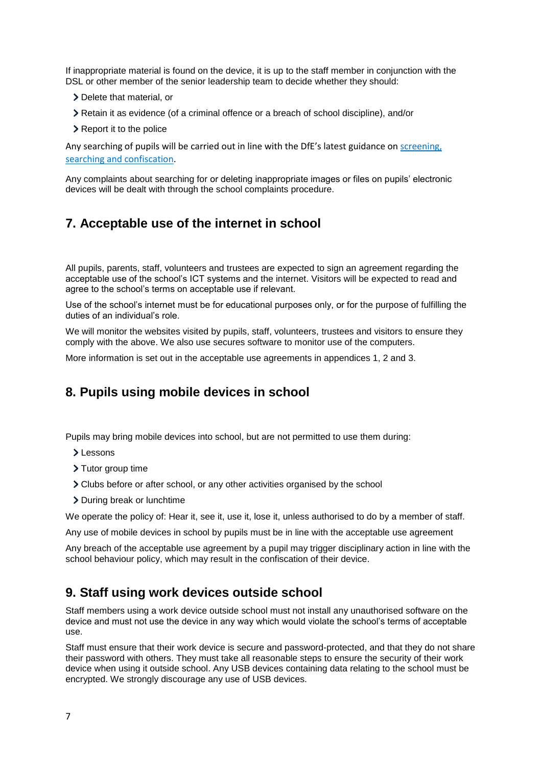If inappropriate material is found on the device, it is up to the staff member in conjunction with the DSL or other member of the senior leadership team to decide whether they should:

- Delete that material, or
- Retain it as evidence (of a criminal offence or a breach of school discipline), and/or
- > Report it to the police

Any searching of pupils will be carried out in line with the DfE's latest guidance on [screening,](https://www.gov.uk/government/publications/searching-screening-and-confiscation)  [searching and confiscation.](https://www.gov.uk/government/publications/searching-screening-and-confiscation)

Any complaints about searching for or deleting inappropriate images or files on pupils' electronic devices will be dealt with through the school complaints procedure.

## <span id="page-6-0"></span>**7. Acceptable use of the internet in school**

All pupils, parents, staff, volunteers and trustees are expected to sign an agreement regarding the acceptable use of the school's ICT systems and the internet. Visitors will be expected to read and agree to the school's terms on acceptable use if relevant.

Use of the school's internet must be for educational purposes only, or for the purpose of fulfilling the duties of an individual's role.

We will monitor the websites visited by pupils, staff, volunteers, trustees and visitors to ensure they comply with the above. We also use secures software to monitor use of the computers.

More information is set out in the acceptable use agreements in appendices 1, 2 and 3.

## <span id="page-6-1"></span>**8. Pupils using mobile devices in school**

Pupils may bring mobile devices into school, but are not permitted to use them during:

- >Lessons
- > Tutor group time
- Clubs before or after school, or any other activities organised by the school
- > During break or lunchtime

We operate the policy of: Hear it, see it, use it, lose it, unless authorised to do by a member of staff.

Any use of mobile devices in school by pupils must be in line with the acceptable use agreement

Any breach of the acceptable use agreement by a pupil may trigger disciplinary action in line with the school behaviour policy, which may result in the confiscation of their device.

#### <span id="page-6-2"></span>**9. Staff using work devices outside school**

Staff members using a work device outside school must not install any unauthorised software on the device and must not use the device in any way which would violate the school's terms of acceptable use.

Staff must ensure that their work device is secure and password-protected, and that they do not share their password with others. They must take all reasonable steps to ensure the security of their work device when using it outside school. Any USB devices containing data relating to the school must be encrypted. We strongly discourage any use of USB devices.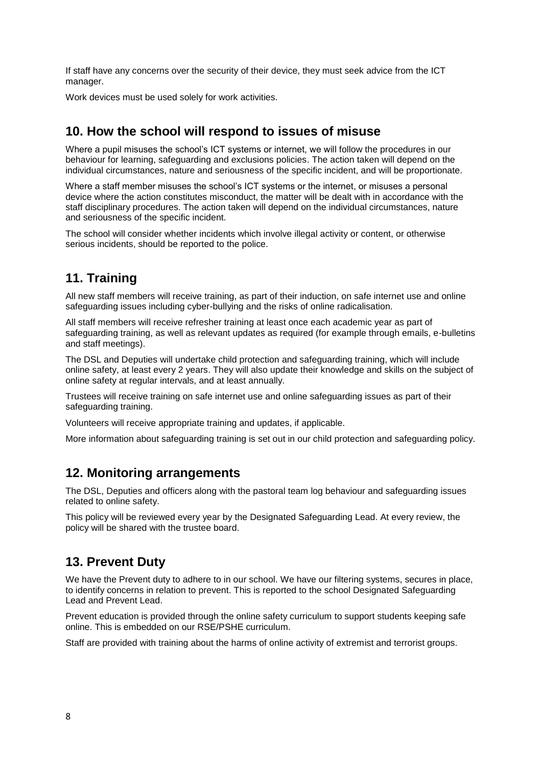If staff have any concerns over the security of their device, they must seek advice from the ICT manager.

Work devices must be used solely for work activities.

## <span id="page-7-0"></span>**10. How the school will respond to issues of misuse**

Where a pupil misuses the school's ICT systems or internet, we will follow the procedures in our behaviour for learning, safeguarding and exclusions policies. The action taken will depend on the individual circumstances, nature and seriousness of the specific incident, and will be proportionate.

Where a staff member misuses the school's ICT systems or the internet, or misuses a personal device where the action constitutes misconduct, the matter will be dealt with in accordance with the staff disciplinary procedures. The action taken will depend on the individual circumstances, nature and seriousness of the specific incident.

The school will consider whether incidents which involve illegal activity or content, or otherwise serious incidents, should be reported to the police.

#### <span id="page-7-1"></span>**11. Training**

All new staff members will receive training, as part of their induction, on safe internet use and online safeguarding issues including cyber-bullying and the risks of online radicalisation.

All staff members will receive refresher training at least once each academic year as part of safeguarding training, as well as relevant updates as required (for example through emails, e-bulletins and staff meetings).

The DSL and Deputies will undertake child protection and safeguarding training, which will include online safety, at least every 2 years. They will also update their knowledge and skills on the subject of online safety at regular intervals, and at least annually.

Trustees will receive training on safe internet use and online safeguarding issues as part of their safeguarding training.

Volunteers will receive appropriate training and updates, if applicable.

More information about safeguarding training is set out in our child protection and safeguarding policy.

#### <span id="page-7-2"></span>**12. Monitoring arrangements**

The DSL, Deputies and officers along with the pastoral team log behaviour and safeguarding issues related to online safety.

This policy will be reviewed every year by the Designated Safeguarding Lead. At every review, the policy will be shared with the trustee board.

## **13. Prevent Duty**

We have the Prevent duty to adhere to in our school. We have our filtering systems, secures in place, to identify concerns in relation to prevent. This is reported to the school Designated Safeguarding Lead and Prevent Lead.

Prevent education is provided through the online safety curriculum to support students keeping safe online. This is embedded on our RSE/PSHE curriculum.

Staff are provided with training about the harms of online activity of extremist and terrorist groups.